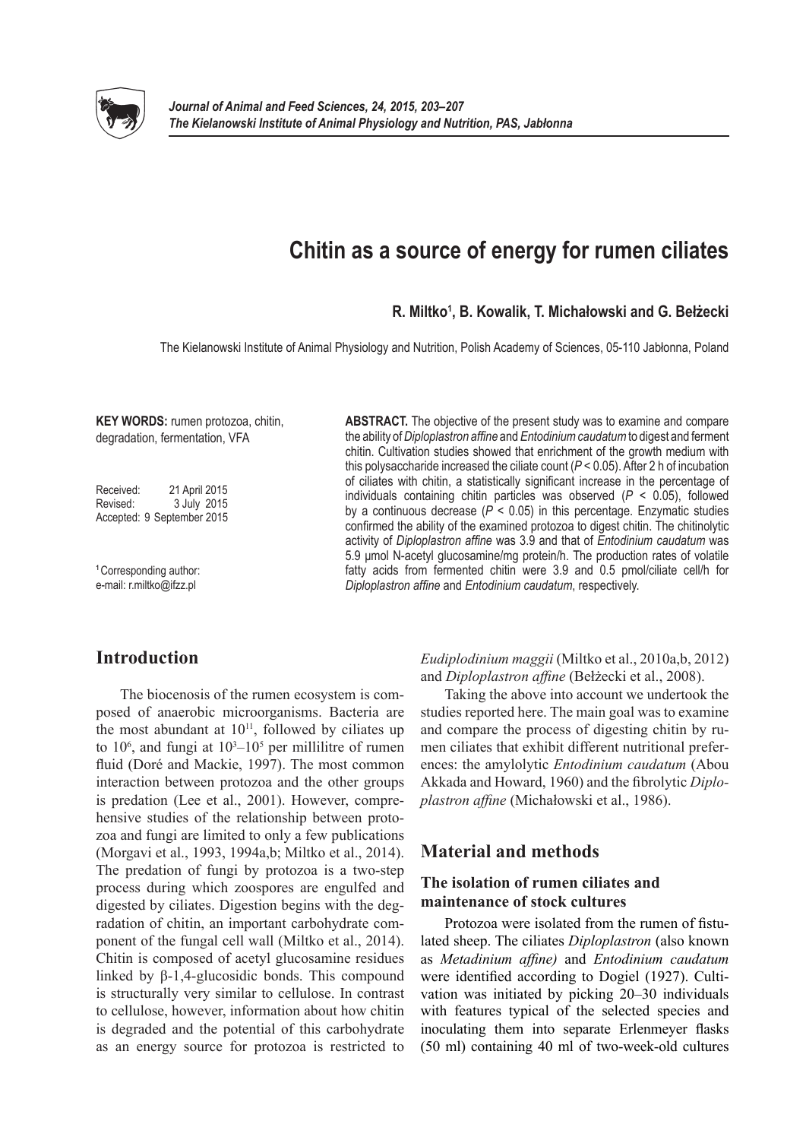

# **Chitin as a source of energy for rumen ciliates**

### **R. Miltko1 , B. Kowalik, T. Michałowski and G. Bełżecki**

The Kielanowski Institute of Animal Physiology and Nutrition, Polish Academy of Sciences, 05-110 Jabłonna, Poland

**KEY WORDS:** rumen protozoa, chitin, degradation, fermentation, VFA

Received: 21 April 2015 Revised: 3 July 2015 Accepted: 9 September 2015

**<sup>1</sup>**Corresponding author: e-mail: r.miltko@ifzz.pl

**ABSTRACT.** The objective of the present study was to examine and compare the ability of *Diploplastron affine* and *Entodinium caudatum* to digest and ferment chitin. Cultivation studies showed that enrichment of the growth medium with this polysaccharide increased the ciliate count (*P* < 0.05). After 2 h of incubation of ciliates with chitin, a statistically significant increase in the percentage of individuals containing chitin particles was observed (*P* < 0.05), followed by a continuous decrease  $(P < 0.05)$  in this percentage. Enzymatic studies confirmed the ability of the examined protozoa to digest chitin. The chitinolytic activity of *Diploplastron affine* was 3.9 and that of *Entodinium caudatum* was 5.9 μmol N-acetyl glucosamine/mg protein/h. The production rates of volatile fatty acids from fermented chitin were 3.9 and 0.5 pmol/ciliate cell/h for *Diploplastron affine* and *Entodinium caudatum*, respectively.

# **Introduction**

The biocenosis of the rumen ecosystem is composed of anaerobic microorganisms. Bacteria are the most abundant at  $10^{11}$ , followed by ciliates up to  $10^6$ , and fungi at  $10^3 - 10^5$  per millilitre of rumen fluid (Doré and Mackie, 1997). The most common interaction between protozoa and the other groups is predation (Lee et al., 2001). However, comprehensive studies of the relationship between protozoa and fungi are limited to only a few publications (Morgavi et al., 1993, 1994a,b; Miltko et al., 2014). The predation of fungi by protozoa is a two-step process during which zoospores are engulfed and digested by ciliates. Digestion begins with the degradation of chitin, an important carbohydrate component of the fungal cell wall (Miltko et al., 2014). Chitin is composed of acetyl glucosamine residues linked by β-1,4-glucosidic bonds. This compound is structurally very similar to cellulose. In contrast to cellulose, however, information about how chitin is degraded and the potential of this carbohydrate as an energy source for protozoa is restricted to

*Eudiplodinium maggii* (Miltko et al., 2010a,b, 2012) and *Diploplastron affine* (Bełżecki et al., 2008).

Taking the above into account we undertook the studies reported here. The main goal was to examine and compare the process of digesting chitin by rumen ciliates that exhibit different nutritional preferences: the amylolytic *Entodinium caudatum* (Abou Akkada and Howard, 1960) and the fibrolytic *Diploplastron affine* (Michałowski et al., 1986).

# **Material and methods**

### **The isolation of rumen ciliates and maintenance of stock cultures**

Protozoa were isolated from the rumen of fistulated sheep. The ciliates *Diploplastron* (also known as *Metadinium affine)* and *Entodinium caudatum* were identified according to Dogiel (1927). Cultivation was initiated by picking 20–30 individuals with features typical of the selected species and inoculating them into separate Erlenmeyer flasks (50 ml) containing 40 ml of two-week-old cultures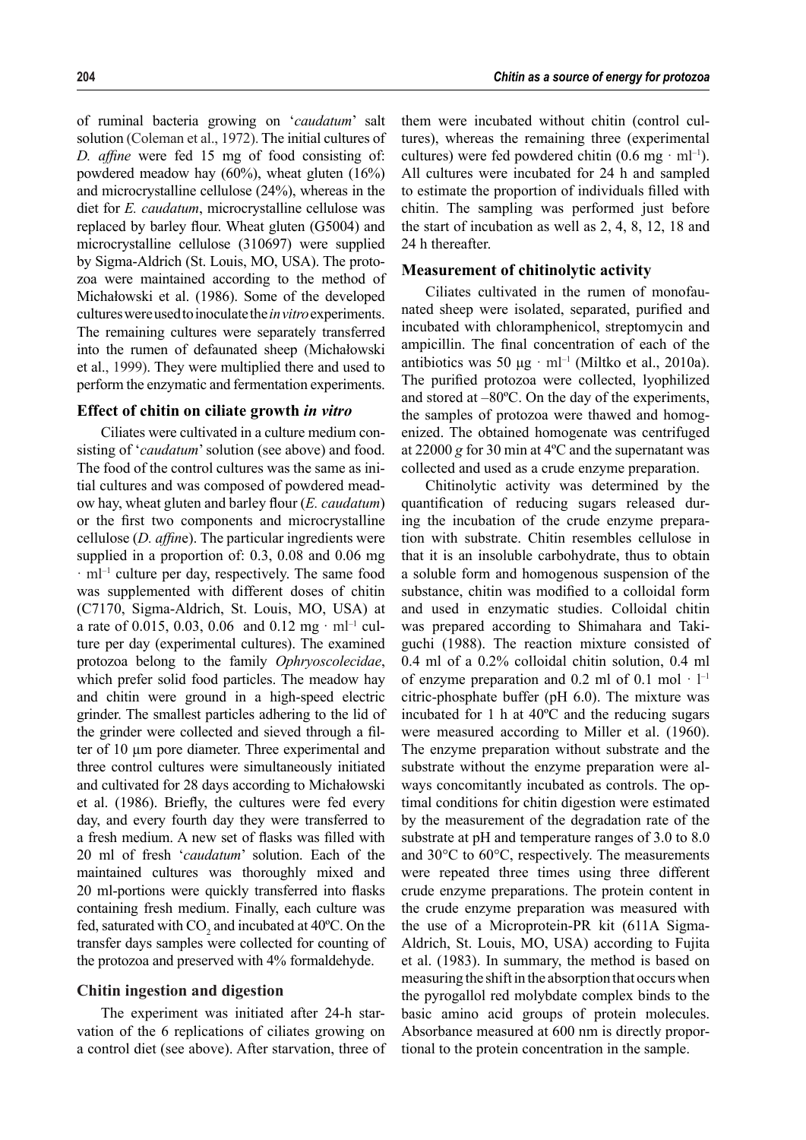of ruminal bacteria growing on '*caudatum*' salt solution (Coleman et al., 1972). The initial cultures of *D. affine* were fed 15 mg of food consisting of: powdered meadow hay (60%), wheat gluten (16%) and microcrystalline cellulose (24%), whereas in the diet for *E. caudatum*, microcrystalline cellulose was replaced by barley flour. Wheat gluten (G5004) and microcrystalline cellulose (310697) were supplied by Sigma-Aldrich (St. Louis, MO, USA). The protozoa were maintained according to the method of Michałowski et al. (1986). Some of the developed cultures were used to inoculate the *in vitro* experiments. The remaining cultures were separately transferred into the rumen of defaunated sheep (Michałowski et al., 1999). They were multiplied there and used to perform the enzymatic and fermentation experiments.

#### **Effect of chitin on ciliate growth** *in vitro*

Ciliates were cultivated in a culture medium consisting of '*caudatum*' solution (see above) and food. The food of the control cultures was the same as initial cultures and was composed of powdered meadow hay, wheat gluten and barley flour (*E. caudatum*) or the first two components and microcrystalline cellulose (*D. affin*e). The particular ingredients were supplied in a proportion of: 0.3, 0.08 and 0.06 mg  $\cdot$  ml<sup>-1</sup> culture per day, respectively. The same food was supplemented with different doses of chitin (C7170, Sigma-Aldrich, St. Louis, MO, USA) at a rate of 0.015, 0.03, 0.06 and 0.12 mg  $\cdot$  ml<sup>-1</sup> culture per day (experimental cultures). The examined protozoa belong to the family *Ophryoscolecidae*, which prefer solid food particles. The meadow hay and chitin were ground in a high-speed electric grinder. The smallest particles adhering to the lid of the grinder were collected and sieved through a filter of 10 μm pore diameter. Three experimental and three control cultures were simultaneously initiated and cultivated for 28 days according to Michałowski et al. (1986). Briefly, the cultures were fed every day, and every fourth day they were transferred to a fresh medium. A new set of flasks was filled with 20 ml of fresh '*caudatum*' solution. Each of the maintained cultures was thoroughly mixed and 20 ml-portions were quickly transferred into flasks containing fresh medium. Finally, each culture was fed, saturated with  $CO_2$  and incubated at 40°C. On the transfer days samples were collected for counting of the protozoa and preserved with 4% formaldehyde.

#### **Chitin ingestion and digestion**

The experiment was initiated after 24-h starvation of the 6 replications of ciliates growing on a control diet (see above). After starvation, three of

them were incubated without chitin (control cultures), whereas the remaining three (experimental cultures) were fed powdered chitin  $(0.6 \text{ mg} \cdot \text{ml}^{-1})$ . All cultures were incubated for 24 h and sampled to estimate the proportion of individuals filled with chitin. The sampling was performed just before the start of incubation as well as 2, 4, 8, 12, 18 and 24 h thereafter.

#### **Measurement of chitinolytic activity**

Ciliates cultivated in the rumen of monofaunated sheep were isolated, separated, purified and incubated with chloramphenicol, streptomycin and ampicillin. The final concentration of each of the antibiotics was 50  $\mu$ g · ml<sup>-1</sup> (Miltko et al., 2010a). The purified protozoa were collected, lyophilized and stored at –80ºC. On the day of the experiments, the samples of protozoa were thawed and homogenized. The obtained homogenate was centrifuged at 22000 *g* for 30 min at 4ºC and the supernatant was collected and used as a crude enzyme preparation.

Chitinolytic activity was determined by the quantification of reducing sugars released during the incubation of the crude enzyme preparation with substrate. Chitin resembles cellulose in that it is an insoluble carbohydrate, thus to obtain a soluble form and homogenous suspension of the substance, chitin was modified to a colloidal form and used in enzymatic studies. Colloidal chitin was prepared according to Shimahara and Takiguchi (1988). The reaction mixture consisted of 0.4 ml of a 0.2% colloidal chitin solution, 0.4 ml of enzyme preparation and 0.2 ml of 0.1 mol  $\cdot$   $\vert^{-1}$ citric-phosphate buffer (pH 6.0). The mixture was incubated for 1 h at 40ºC and the reducing sugars were measured according to Miller et al. (1960). The enzyme preparation without substrate and the substrate without the enzyme preparation were always concomitantly incubated as controls. The optimal conditions for chitin digestion were estimated by the measurement of the degradation rate of the substrate at pH and temperature ranges of 3.0 to 8.0 and 30°C to 60°C, respectively. The measurements were repeated three times using three different crude enzyme preparations. The protein content in the crude enzyme preparation was measured with the use of a Microprotein-PR kit (611A Sigma-Aldrich, St. Louis, MO, USA) according to Fujita et al. (1983). In summary, the method is based on measuring the shift in the absorption that occurs when the pyrogallol red molybdate complex binds to the basic amino acid groups of protein molecules. Absorbance measured at 600 nm is directly proportional to the protein concentration in the sample.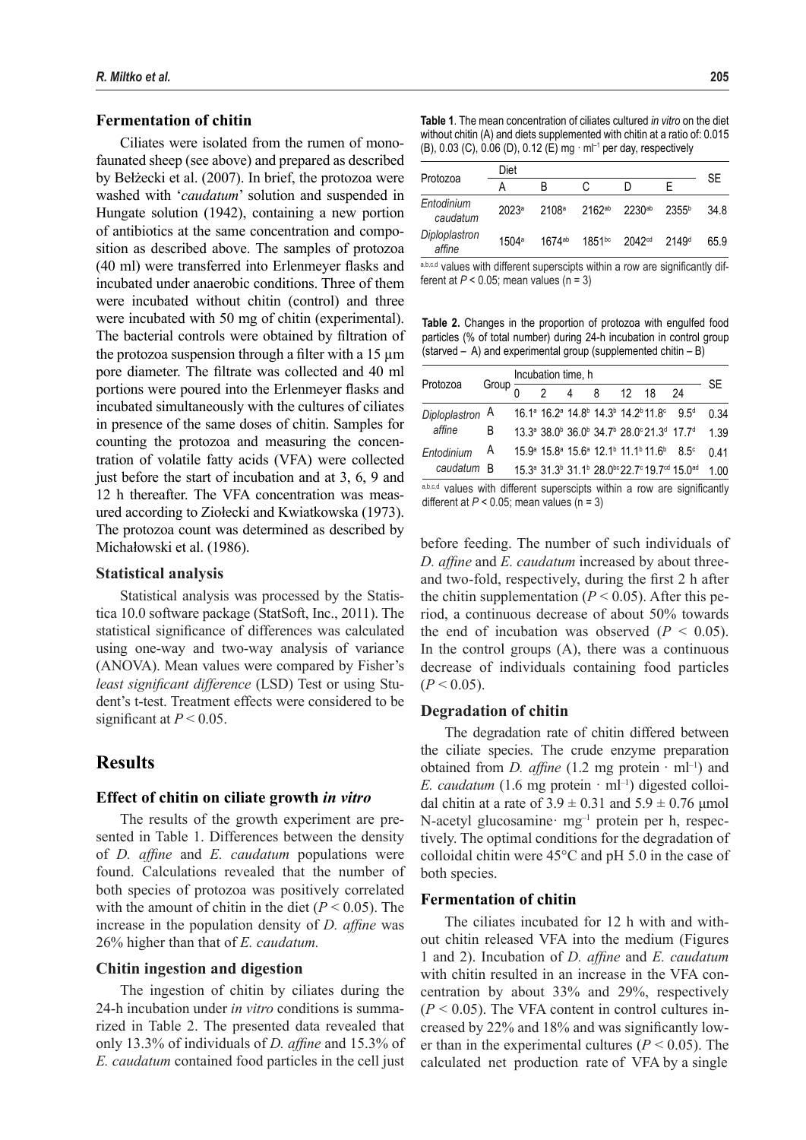#### **Fermentation of chitin**

Ciliates were isolated from the rumen of monofaunated sheep (see above) and prepared as described by Bełżecki et al. (2007). In brief, the protozoa were washed with '*caudatum*' solution and suspended in Hungate solution (1942), containing a new portion of antibiotics at the same concentration and composition as described above. The samples of protozoa (40 ml) were transferred into Erlenmeyer flasks and incubated under anaerobic conditions. Three of them were incubated without chitin (control) and three were incubated with 50 mg of chitin (experimental). The bacterial controls were obtained by filtration of the protozoa suspension through a filter with a  $15 \mu m$ pore diameter. The filtrate was collected and 40 ml portions were poured into the Erlenmeyer flasks and incubated simultaneously with the cultures of ciliates in presence of the same doses of chitin. Samples for counting the protozoa and measuring the concentration of volatile fatty acids (VFA) were collected just before the start of incubation and at 3, 6, 9 and 12 h thereafter. The VFA concentration was measured according to Ziołecki and Kwiatkowska (1973). The protozoa count was determined as described by Michałowski et al. (1986).

#### **Statistical analysis**

Statistical analysis was processed by the Statistica 10.0 software package (StatSoft, Inc., 2011). The statistical significance of differences was calculated using one-way and two-way analysis of variance (ANOVA). Mean values were compared by Fisher's *least significant difference* (LSD) Test or using Student's t-test. Treatment effects were considered to be significant at  $P < 0.05$ .

## **Results**

#### **Effect of chitin on ciliate growth** *in vitro*

The results of the growth experiment are presented in Table 1. Differences between the density of *D. affine* and *E. caudatum* populations were found. Calculations revealed that the number of both species of protozoa was positively correlated with the amount of chitin in the diet  $(P < 0.05)$ . The increase in the population density of *D. affine* was 26% higher than that of *E. caudatum.*

#### **Chitin ingestion and digestion**

The ingestion of chitin by ciliates during the 24-h incubation under *in vitro* conditions is summarized in Table 2. The presented data revealed that only 13.3% of individuals of *D. affine* and 15.3% of *E. caudatum* contained food particles in the cell just

**Table 1**. The mean concentration of ciliates cultured *in vitro* on the diet without chitin (A) and diets supplemented with chitin at a ratio of: 0.015 (B), 0.03 (C), 0.06 (D), 0.12 (E) mg · ml–1 per day, respectively

| Protozoa                | Diet              |             |                                                         |                    |                   |      |  |
|-------------------------|-------------------|-------------|---------------------------------------------------------|--------------------|-------------------|------|--|
|                         |                   | B           |                                                         | D                  | F                 | SE   |  |
| Entodinium<br>caudatum  | 2023 <sup>a</sup> |             | 2108 <sup>a</sup> 2162 <sup>ab</sup> 2230 <sup>ab</sup> |                    | 2355 <sup>b</sup> | 34.8 |  |
| Diploplastron<br>affine | 1504 <sup>a</sup> | $1674^{ab}$ | $1851^{bc}$                                             | 2042 <sup>cd</sup> | 2149 <sup>d</sup> | 65.9 |  |

a,b,c,d values with different superscipts within a row are significantly different at  $P < 0.05$ ; mean values (n = 3)

**Table 2.** Changes in the proportion of protozoa with engulfed food particles (% of total number) during 24-h incubation in control group (starved – A) and experimental group (supplemented chitin – B)

| Protozoa                  | Group $\overline{c}$ | Incubation time, h |  |             |  |  |                                                                                                                               |                                                                                                                                  |      |
|---------------------------|----------------------|--------------------|--|-------------|--|--|-------------------------------------------------------------------------------------------------------------------------------|----------------------------------------------------------------------------------------------------------------------------------|------|
|                           |                      |                    |  | $4 \quad 8$ |  |  | $12 \quad 18$                                                                                                                 | 24                                                                                                                               | SE   |
| Diploplastron A<br>affine |                      |                    |  |             |  |  | 16.1 <sup>a</sup> 16.2 <sup>a</sup> 14.8 <sup>b</sup> 14.3 <sup>b</sup> 14.2 <sup>b</sup> 11.8 <sup>c</sup> 9.5 <sup>d</sup>  |                                                                                                                                  | 0.34 |
|                           | B                    |                    |  |             |  |  | 13.3 <sup>a</sup> 38.0 <sup>b</sup> 36.0 <sup>b</sup> 34.7 <sup>b</sup> 28.0 <sup>c</sup> 21.3 <sup>d</sup> 17.7 <sup>d</sup> |                                                                                                                                  | 1.39 |
| Entodinium<br>caudatum    | A                    |                    |  |             |  |  | 15.9 <sup>a</sup> 15.8 <sup>a</sup> 15.6 <sup>a</sup> 12.1 <sup>b</sup> 11.1 <sup>b</sup> 11.6 <sup>b</sup> 8.5 <sup>c</sup>  |                                                                                                                                  | 0.41 |
|                           | - R                  |                    |  |             |  |  |                                                                                                                               | 15.3 <sup>a</sup> 31.3 <sup>b</sup> 31.1 <sup>b</sup> 28.0 <sup>bc</sup> 22.7 <sup>c</sup> 19.7 <sup>cd</sup> 15.0 <sup>ad</sup> | 100  |

a,b,c,d values with different superscipts within a row are significantly different at  $P < 0.05$ ; mean values (n = 3)

before feeding. The number of such individuals of *D. affine* and *E. caudatum* increased by about threeand two-fold, respectively, during the first 2 h after the chitin supplementation ( $P < 0.05$ ). After this period, a continuous decrease of about 50% towards the end of incubation was observed  $(P < 0.05)$ . In the control groups (A), there was a continuous decrease of individuals containing food particles  $(P < 0.05)$ .

#### **Degradation of chitin**

The degradation rate of chitin differed between the ciliate species. The crude enzyme preparation obtained from *D. affine*  $(1.2 \text{ mg protein} \cdot \text{ml}^{-1})$  and *E. caudatum* (1.6 mg protein  $\cdot$  ml<sup>-1</sup>) digested colloidal chitin at a rate of  $3.9 \pm 0.31$  and  $5.9 \pm 0.76$  µmol N-acetyl glucosamine· mg<sup>-1</sup> protein per h, respectively. The optimal conditions for the degradation of colloidal chitin were 45°C and pH 5.0 in the case of both species.

#### **Fermentation of chitin**

The ciliates incubated for 12 h with and without chitin released VFA into the medium (Figures 1 and 2). Incubation of *D. affine* and *E. caudatum*  with chitin resulted in an increase in the VFA concentration by about 33% and 29%, respectively  $(P < 0.05)$ . The VFA content in control cultures increased by 22% and 18% and was significantly lower than in the experimental cultures  $(P < 0.05)$ . The calculated net production rate of VFA by a single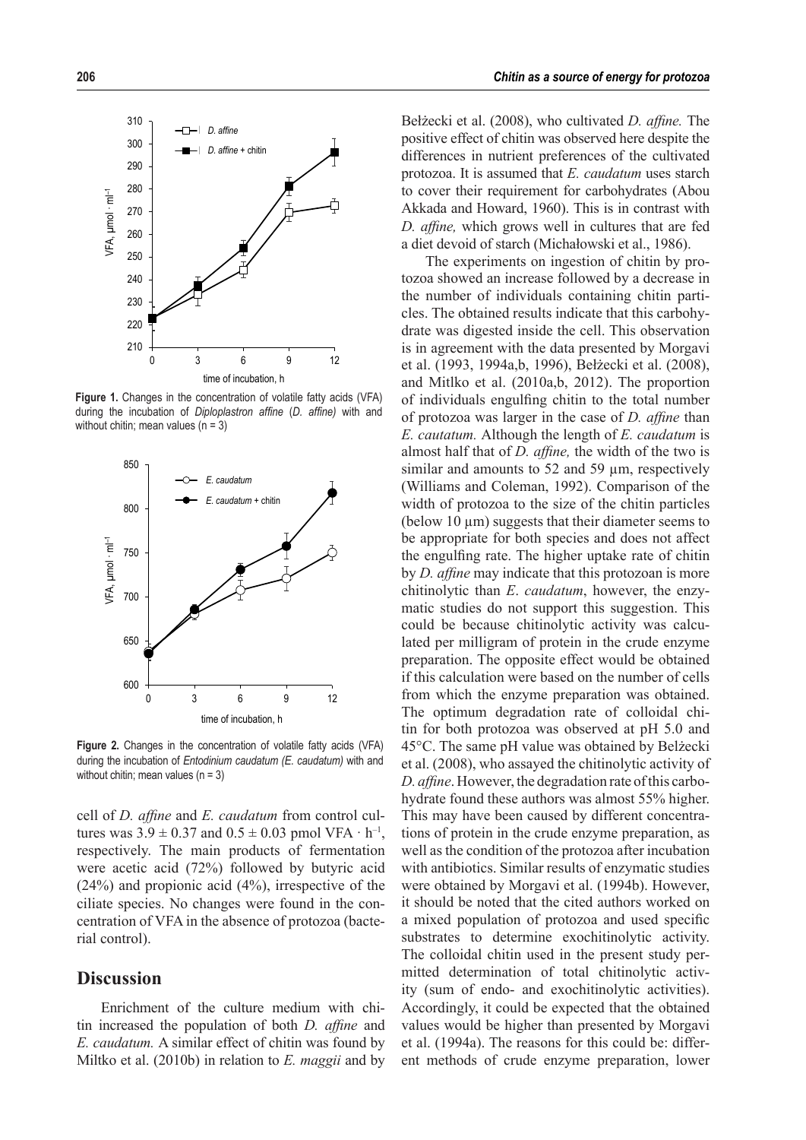

Figure 1. Changes in the concentration of volatile fatty acids (VFA) during the incubation of *Diploplastron affine (D. affine)* with and without chitin; mean values (n = 3)



Figure 2. Changes in the concentration of volatile fatty acids (VFA) during the incubation of *Entodinium caudatum (E. caudatum)* with and without chitin; mean values  $(n = 3)$ 

cell of *D. affine* and *E. caudatum* from control cultures was  $3.9 \pm 0.37$  and  $0.5 \pm 0.03$  pmol VFA  $\cdot$  h<sup>-1</sup>, respectively. The main products of fermentation were acetic acid (72%) followed by butyric acid (24%) and propionic acid (4%), irrespective of the ciliate species. No changes were found in the concentration of VFA in the absence of protozoa (bacterial control).

# **Discussion**

Enrichment of the culture medium with chitin increased the population of both *D. affine* and *E. caudatum.* A similar effect of chitin was found by Miltko et al. (2010b) in relation to *E. maggii* and by

Bełżecki et al. (2008), who cultivated *D. affine.* The positive effect of chitin was observed here despite the differences in nutrient preferences of the cultivated protozoa. It is assumed that *E. caudatum* uses starch to cover their requirement for carbohydrates (Abou Akkada and Howard, 1960). This is in contrast with *D. affine,* which grows well in cultures that are fed a diet devoid of starch (Michałowski et al., 1986).

The experiments on ingestion of chitin by protozoa showed an increase followed by a decrease in the number of individuals containing chitin particles. The obtained results indicate that this carbohydrate was digested inside the cell. This observation is in agreement with the data presented by Morgavi et al. (1993, 1994a,b, 1996), Bełżecki et al. (2008), and Mitlko et al. (2010a,b, 2012). The proportion of individuals engulfing chitin to the total number of protozoa was larger in the case of *D. affine* than *E. cautatum.* Although the length of *E. caudatum* is almost half that of *D. affine,* the width of the two is similar and amounts to 52 and 59  $\mu$ m, respectively (Williams and Coleman, 1992). Comparison of the width of protozoa to the size of the chitin particles (below 10  $\mu$ m) suggests that their diameter seems to be appropriate for both species and does not affect the engulfing rate. The higher uptake rate of chitin by *D. affine* may indicate that this protozoan is more chitinolytic than *E*. *caudatum*, however, the enzymatic studies do not support this suggestion. This could be because chitinolytic activity was calculated per milligram of protein in the crude enzyme preparation. The opposite effect would be obtained if this calculation were based on the number of cells from which the enzyme preparation was obtained. The optimum degradation rate of colloidal chitin for both protozoa was observed at pH 5.0 and 45°C. The same pH value was obtained by Belżecki et al. (2008), who assayed the chitinolytic activity of *D. affine*. However, the degradation rate of this carbohydrate found these authors was almost 55% higher. This may have been caused by different concentrations of protein in the crude enzyme preparation, as well as the condition of the protozoa after incubation with antibiotics. Similar results of enzymatic studies were obtained by Morgavi et al. (1994b). However, it should be noted that the cited authors worked on a mixed population of protozoa and used specific substrates to determine exochitinolytic activity. The colloidal chitin used in the present study permitted determination of total chitinolytic activity (sum of endo- and exochitinolytic activities). Accordingly, it could be expected that the obtained values would be higher than presented by Morgavi et al. (1994a). The reasons for this could be: different methods of crude enzyme preparation, lower